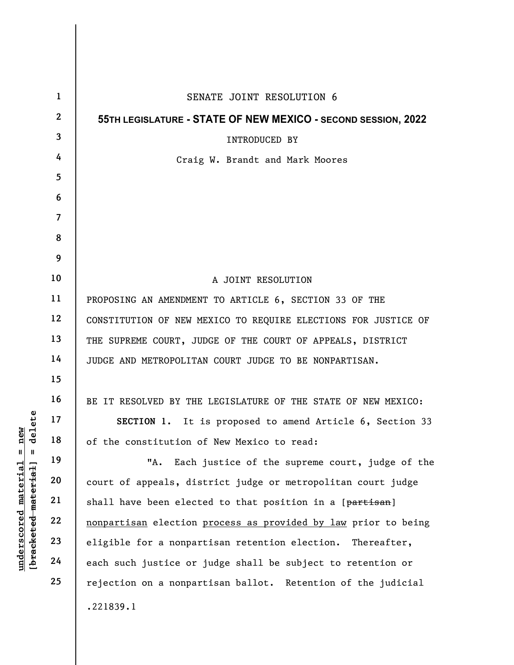| new<br>delete<br>$\mathsf{II}$<br>Ш<br><u>material</u> | $\mathbf{1}$   | SENATE JOINT RESOLUTION 6                                      |
|--------------------------------------------------------|----------------|----------------------------------------------------------------|
|                                                        | $\mathbf{2}$   | 55TH LEGISLATURE - STATE OF NEW MEXICO - SECOND SESSION, 2022  |
|                                                        | 3              | <b>INTRODUCED BY</b>                                           |
|                                                        | 4              | Craig W. Brandt and Mark Moores                                |
|                                                        | 5              |                                                                |
|                                                        | 6              |                                                                |
|                                                        | $\overline{7}$ |                                                                |
|                                                        | 8              |                                                                |
|                                                        | 9              |                                                                |
|                                                        | 10             | A JOINT RESOLUTION                                             |
|                                                        | 11             | PROPOSING AN AMENDMENT TO ARTICLE 6, SECTION 33 OF THE         |
|                                                        | 12             | CONSTITUTION OF NEW MEXICO TO REQUIRE ELECTIONS FOR JUSTICE OF |
|                                                        | 13             | THE SUPREME COURT, JUDGE OF THE COURT OF APPEALS, DISTRICT     |
|                                                        | 14             | JUDGE AND METROPOLITAN COURT JUDGE TO BE NONPARTISAN.          |
|                                                        | 15             |                                                                |
|                                                        | 16             | BE IT RESOLVED BY THE LEGISLATURE OF THE STATE OF NEW MEXICO:  |
|                                                        | 17             | SECTION 1. It is proposed to amend Article 6, Section 33       |
|                                                        | 18             | of the constitution of New Mexico to read:                     |
|                                                        | 19             | "А.<br>Each justice of the supreme court, judge of the         |
|                                                        | 20             | court of appeals, district judge or metropolitan court judge   |
|                                                        | 21             | shall have been elected to that position in a [partisan]       |
|                                                        | 22             | nonpartisan election process as provided by law prior to being |
| [bracketed material]<br><u>underscored</u>             | 23             | eligible for a nonpartisan retention election. Thereafter,     |
|                                                        | 24             | each such justice or judge shall be subject to retention or    |
|                                                        | 25             | rejection on a nonpartisan ballot. Retention of the judicial   |
|                                                        |                | .221839.1                                                      |
|                                                        |                |                                                                |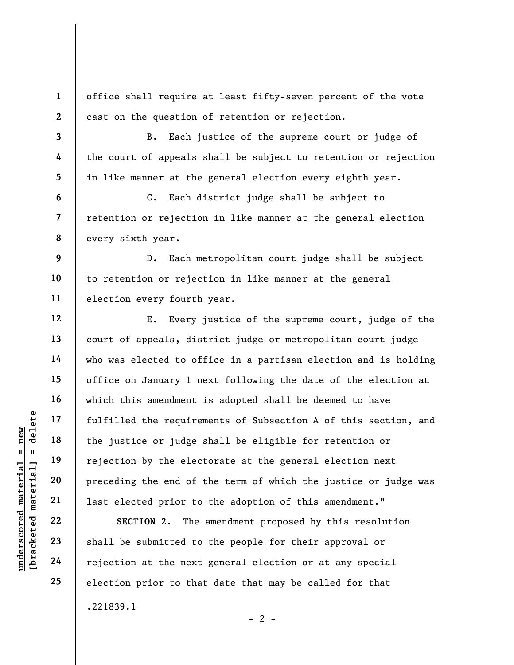office shall require at least fifty-seven percent of the vote cast on the question of retention or rejection.

B. Each justice of the supreme court or judge of the court of appeals shall be subject to retention or rejection in like manner at the general election every eighth year.

C. Each district judge shall be subject to retention or rejection in like manner at the general election every sixth year.

9 10 11 D. Each metropolitan court judge shall be subject to retention or rejection in like manner at the general election every fourth year.

understand material species of the series of the series of the series of the series of the series of the electron by the electron of the electron of the series of the series of the series of the series of the series of the E. Every justice of the supreme court, judge of the court of appeals, district judge or metropolitan court judge who was elected to office in a partisan election and is holding office on January 1 next following the date of the election at which this amendment is adopted shall be deemed to have fulfilled the requirements of Subsection A of this section, and the justice or judge shall be eligible for retention or rejection by the electorate at the general election next preceding the end of the term of which the justice or judge was last elected prior to the adoption of this amendment."

SECTION 2. The amendment proposed by this resolution shall be submitted to the people for their approval or rejection at the next general election or at any special election prior to that date that may be called for that .221839.1  $- 2 -$ 

1

2

3

4

5

6

7

8

12

13

14

15

16

17

18

19

20

21

22

23

24

25